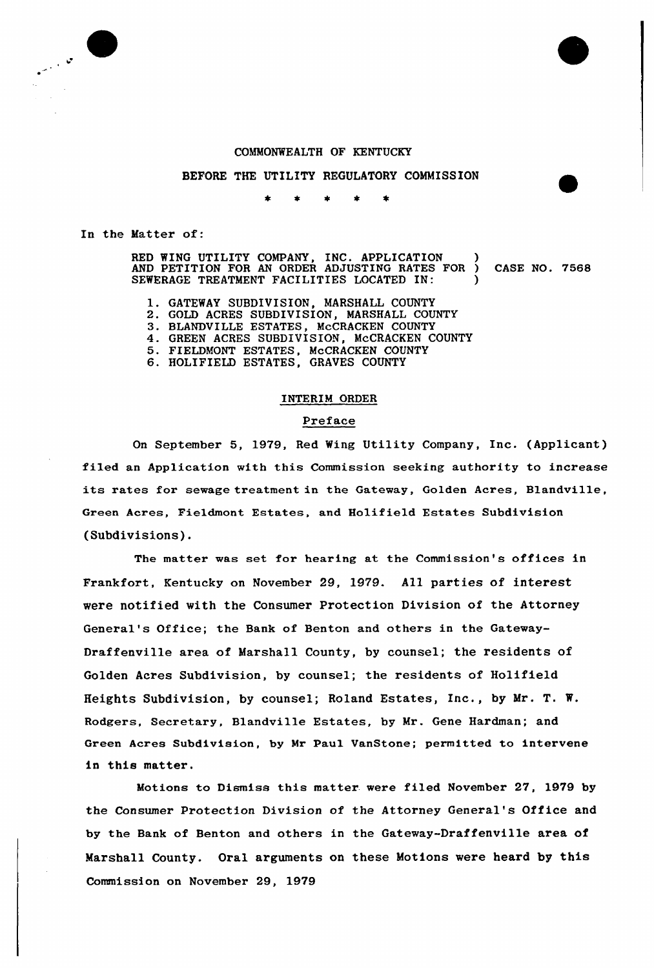#### COMMONWEALTH OF KENTUCKY

#### BEFORE THE UTILITY REGULATORY COMMISSION

In the Matter of:

 $\sim$   $\frac{1}{2}$ 

RED WING UTILITY COMPANY, INC. APPLICATION ) AND PETITION FOR AN ORDER ADJUSTING RATES FOR ) CASE NO. 7568 SEWERAGE TREATMENT FACILITIES LOCATED IN:

- l. GATEWAY SUBDIVISION, MARSHALI COUNTY
- 2. GOLD ACRES SUBDIVISION, MARSHALL COUNTY
- 3. BLANDVILLE ESTATES, McCRACKEN COUNTY
- 4. GREEN ACRES SUBDIVISION, McCRACKEN COUNTY
- 5. FIELDMONT ESTATES, McCRACKEN COUNTY
- 6. HOLIFIELD ESTATES, GRAVES COUNTY

### INTERIM ORDER

### Preface

On September 5, 1979, Red Wing Utility Company, Inc. (Applicant) filed an Application with this Commission seeking authority to increase its rates for sewage treatment in the Gateway, Golden Acres, Blandville, Green Acres, Fieldmont Estates, and Holifield Estates Subdivision (Subdivisions).

The matter was set for hearing at the Commission's offices in Frankfort, Kentucky on November 29, 1979. All parties of interest were notified with the Consumer Protection Division of the Attorney General's Office; the Bank of Benton and others in the Gateway-Draffenville area of Marshall County, by counsel; the residents of Golden Acres Subdivision, by counsel; the residents of Holifield Heights Subdivision, by counsel; Roland Estates, Inc., by Mr. T. W. Rodgers, Secretary, Blandville Estates, by Mr. Gene Hardman; and Green Acres Subdivision, by Mr Paul VanStone; permitted to intervene in this matter.

Motions to Dismiss this matter. were filed November 27, 1979 by the Consumer Protection Division of the Attorney General's Office and by the Bank of Benton and others in the Gateway-Draffenville area of Marshall County. Oral arguments on these Motions were heard by this Commission on November 29, 1979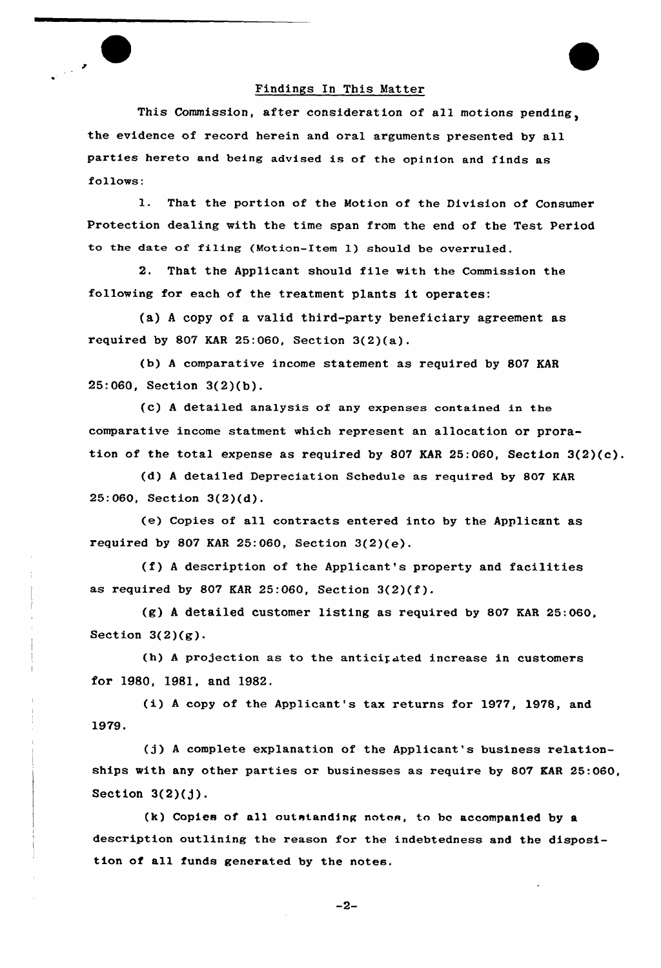

al

This Commission, after consideration of all motions pending, the evidence of record herein and oral arguments presented by all parties hereto and being advised is of the opinion and finds as follows:

l. That the portion of the Motion of the Division of Consumer Protection dealing with the time span from the end of the Test Period to the date of filing (Motion-Item 1) should be overruled.

2. That the Applicant should file with the Commission the following for each of the treatment plants it operates:

(a) <sup>A</sup> copy of a valid third-party beneficiary agreement as required by 807 KAR 25:060, Section  $3(2)(a)$ .

(b) <sup>A</sup> comparative income statement as required by 807 KAR 25:060, Section 3(2)(b).

(c) <sup>A</sup> detailed analysis of any expenses contained in the comparative income statment which represent an allocation or proration of the total expense as required hy 807 KAR 25:060, Section 3(2)(c).

(d) <sup>A</sup> detailed Depreciation Schedule as required by 807 KAR 25:060, Section 3(2)(d).

(e) Copies of all contracts entered into by the Applicant as required by 807 KAR 25:060, Section  $3(2)(e)$ .

(f) <sup>A</sup> description of the Applicant's property and facilities as required by 807 KAR 25:060, Section 3(2)(f).

(g) <sup>A</sup> detailed customer listing as required by 807 KAR 25:060, Section  $3(2)(g)$ .

(h) <sup>A</sup> projection as to the anticipated increase in customers for 1980, 1981, and 1982.

(i) <sup>A</sup> copy of the Applicant's tax returns for 1977, 1978, and 1979.

(j) <sup>A</sup> complete explanation of the Applicant's business relationships with any other parties or businesses as require by 807 KAR 25:060, Section  $3(2)(j)$ .

(k) Copies of all outstanding notos, to be accompanied by a description outlining the reason for the indebtedness and the disposition of all funds generated by the notes.

 $-2-$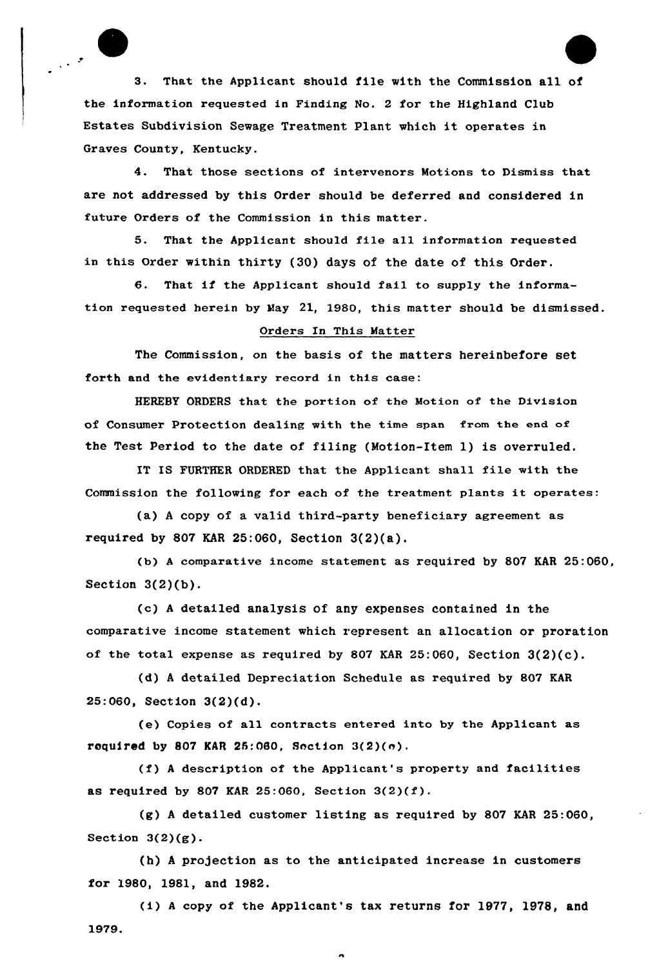3. That the Applicant should file with the Commission all of the information requested in Finding No. 2 for the Highland Club Estates Subdivision Sewage Treatment Plant which it operates in Graves County, Kentucky.

4. That those sections of intervenors Motions to Dismiss that are not addressed by this Order should be deferred and considered in future Orders of the Commission in this matter.

5. That the Applicant should file all information requested in this Order within thirty (30) days of the date of this Order.

6. That if the Applicant should fail to supply the information requested herein by May 21, 1980, this matter should be dismissed.

## Orders In This Matter

The Commission, on the basis of the matters hereinbefore set forth and the evidentiary record in this case:

HEREBY ORDERS that the portion of the Motion of the Division of Consumer protection dealing with the time span from the end of the Test Period to the date of filing (Notion-Item 1) is overruled.

IT IS FURTHER ORDERED that the Applicant shall file with the Commission the following for each of the treatment plants it operates..

(a) <sup>A</sup> copy of a valid third-party beneficiary agreement as required by 807 KAR 25:060, Section  $3(2)(a)$ .

(b) <sup>A</sup> comparative income statement as required by 807 KAR 25:060, Section  $3(2)(b)$ .

(c) <sup>A</sup> detailed analysis of any expenses contained in the comparative income statement which represent an allocation or proration of the total expense as required by 807 KAR 25:060, Section 3(2)(c).

(d) <sup>A</sup> detailed Depreciation Schedule as required by 807 KAR 25:060, Section 3(2)(d).

(e) Copies of all contracts entered into by the Applicant as required by 807 KAR 25:060, Section  $3(2)(e)$ .

(f) <sup>A</sup> description of the Applicant's property and facilities as required by 807 KAR 25:060, Section  $3(2)(f)$ .

(g) <sup>A</sup> detailed customer listing as required by 807 KAR 25:060, Section  $3(2)(g)$ .

(h) A projection as to the anticipated increase in customers for 1980, 1981, and 1982.

(i) <sup>A</sup> copy of the Applicant's tax returns for 1977, 1978, and 1979.